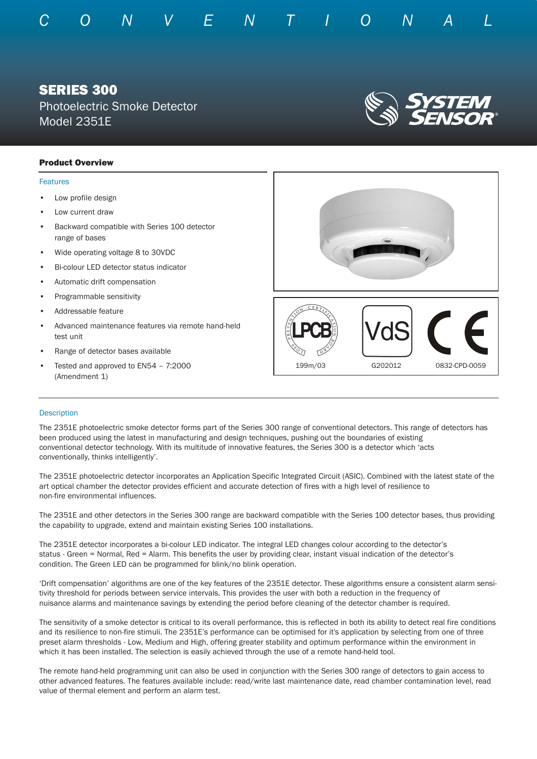

# SERIES 300

Photoelectric Smoke Detector Model 2351E



## Product Overview

#### Features

- Low profile design
- Low current draw
- Backward compatible with Series 100 detector range of bases
- Wide operating voltage 8 to 30VDC
- Bi-colour LED detector status indicator
- Automatic drift compensation
- Programmable sensitivity
- Addressable feature
- Advanced maintenance features via remote hand-held test unit
- Range of detector bases available
- Tested and approved to EN54 7:2000 (Amendment 1)



### **Description**

The 2351E photoelectric smoke detector forms part of the Series 300 range of conventional detectors. This range of detectors has been produced using the latest in manufacturing and design techniques, pushing out the boundaries of existing conventional detector technology. With its multitude of innovative features, the Series 300 is a detector which 'acts conventionally, thinks intelligently'.

The 2351E photoelectric detector incorporates an Application Specific Integrated Circuit (ASIC). Combined with the latest state of the art optical chamber the detector provides efficient and accurate detection of fires with a high level of resilience to non-fire environmental influences.

The 2351E and other detectors in the Series 300 range are backward compatible with the Series 100 detector bases, thus providing the capability to upgrade, extend and maintain existing Series 100 installations.

The 2351E detector incorporates a bi-colour LED indicator. The integral LED changes colour according to the detector's status - Green = Normal, Red = Alarm. This benefits the user by providing clear, instant visual indication of the detector's condition. The Green LED can be programmed for blink/no blink operation.

'Drift compensation' algorithms are one of the key features of the 2351E detector. These algorithms ensure a consistent alarm sensitivity threshold for periods between service intervals. This provides the user with both a reduction in the frequency of nuisance alarms and maintenance savings by extending the period before cleaning of the detector chamber is required.

The sensitivity of a smoke detector is critical to its overall performance, this is reflected in both its ability to detect real fire conditions and its resilience to non-fire stimuli. The 2351E's performance can be optimised for it's application by selecting from one of three preset alarm thresholds - Low, Medium and High, offering greater stability and optimum performance within the environment in which it has been installed. The selection is easily achieved through the use of a remote hand-held tool.

The remote hand-held programming unit can also be used in conjunction with the Series 300 range of detectors to gain access to other advanced features. The features available include: read/write last maintenance date, read chamber contamination level, read value of thermal element and perform an alarm test.